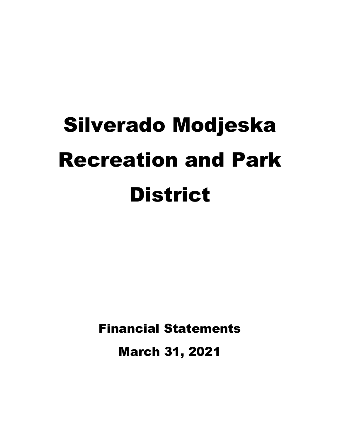# Silverado Modjeska Recreation and Park **District**

Financial Statements

March 31, 2021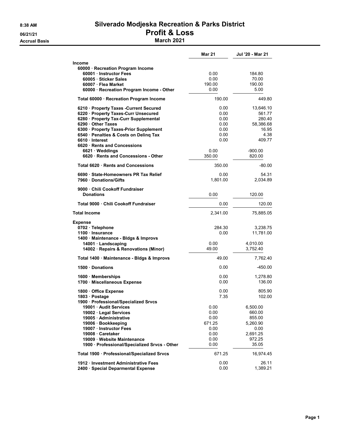#### 8:38 AM Silverado Modjeska Recreation & Parks District 06/21/21 **Profit & Loss** Accrual Basis **March 2021**

|                                                                                  | <b>Mar 21</b>  | Jul '20 - Mar 21      |
|----------------------------------------------------------------------------------|----------------|-----------------------|
| Income                                                                           |                |                       |
| 60000 · Recreation Program Income                                                |                |                       |
| 60001 Instructor Fees                                                            | 0.00           | 184.80                |
| 60005 Sticker Sales                                                              | 0.00           | 70.00                 |
| 60007 · Flea Market                                                              | 190.00         | 190.00                |
| 60000 · Recreation Program Income - Other                                        | 0.00           | 5.00                  |
| Total 60000 · Recreation Program Income                                          | 190.00         | 449.80                |
| 6210 · Property Taxes - Current Secured                                          | 0.00           | 13,646.10             |
| 6220 · Property Taxes-Curr Unsecured                                             | 0.00           | 561.77                |
| 6280 · Property Tax-Curr Supplemental                                            | 0.00           | 280.40                |
| 6290 Other Taxes                                                                 | 0.00           | 58,386.68             |
| 6300 · Property Taxes-Prior Supplement<br>6540 · Penalties & Costs on Deling Tax | 0.00<br>0.00   | 16.95<br>4.38         |
| 6610 Interest                                                                    | 0.00           | 409.77                |
| 6620 · Rents and Concessions                                                     |                |                       |
| 6621 · Weddings                                                                  | 0.00           | $-900.00$             |
| 6620 · Rents and Concessions - Other                                             | 350.00         | 820.00                |
| Total 6620 Rents and Concessions                                                 | 350.00         | $-80.00$              |
| 6690 · State-Homeowners PR Tax Relief                                            | 0.00           | 54.31                 |
| 7960 Donations/Gifts                                                             | 1,801.00       | 2,034.89              |
|                                                                                  |                |                       |
| 9000 · Chili Cookoff Fundraiser<br><b>Donations</b>                              | 0.00           | 120.00                |
| Total 9000 Chili Cookoff Fundraiser                                              | 0.00           | 120.00                |
| <b>Total Income</b>                                                              | 2,341.00       |                       |
|                                                                                  |                | 75,885.05             |
| <b>Expense</b>                                                                   |                |                       |
| 0702 · Telephone                                                                 | 284.30<br>0.00 | 3,238.75<br>11,781.00 |
| 1100 · Insurance<br>1400 · Maintenance - Bldgs & Improvs                         |                |                       |
| 14001 · Landscaping                                                              | 0.00           | 4,010.00              |
| 14002 · Repairs & Renovations (Minor)                                            | 49.00          | 3,752.40              |
| Total 1400 · Maintenance - Bldgs & Improvs                                       | 49.00          | 7,762.40              |
| 1500 Donations                                                                   | 0.00           | -450.00               |
|                                                                                  |                |                       |
| 1600 · Memberships                                                               | 0.00           | 1,278.80              |
| 1700 · Miscellaneous Expense                                                     | 0.00           | 136.00                |
| 1800 · Office Expense                                                            | 0.00           | 805.90                |
| 1803 · Postage                                                                   | 7.35           | 102.00                |
| 1900 · Professional/Specialized Srvcs                                            |                |                       |
| 19001 Audit Services                                                             | 0.00           | 6,500.00              |
| 19002 · Legal Services                                                           | 0.00           | 660.00                |
| 19005 · Administrative<br>19006 · Bookkeeping                                    | 0.00<br>671.25 | 855.00<br>5,260.90    |
| 19007 · Instructor Fees                                                          | 0.00           | 0.00                  |
| 19008 Caretaker                                                                  | 0.00           | 2,691.25              |
| 19009 · Website Maintenance                                                      | 0.00           | 972.25                |
| 1900 · Professional/Specialized Srvcs - Other                                    | 0.00           | 35.05                 |
| Total 1900 · Professional/Specialized Srvcs                                      | 671.25         | 16,974.45             |
| 1912 · Investment Administrative Fees                                            | 0.00           | 26.11                 |
| 2400 · Special Deparmental Expense                                               | 0.00           | 1,389.21              |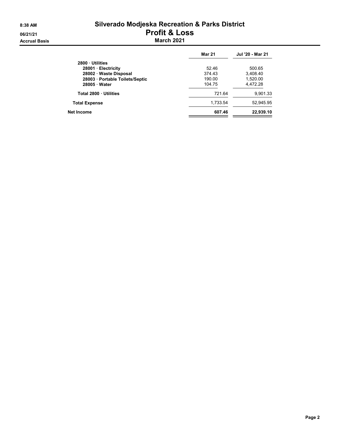# 8:38 AM Silverado Modjeska Recreation & Parks District 06/21/21<br>
Accrual Basis<br>
Accrual Basis<br>
March 2021

|                               | <b>Mar 21</b> | Jul '20 - Mar 21 |
|-------------------------------|---------------|------------------|
| 2800 Utilities                |               |                  |
| 28001 Electricity             | 52.46         | 500.65           |
| 28002 · Waste Disposal        | 374.43        | 3,408.40         |
| 28003 Portable Toilets/Septic | 190.00        | 1.520.00         |
| 28005 Water                   | 104.75        | 4,472.28         |
| Total 2800 Utilities          | 721.64        | 9,901.33         |
| <b>Total Expense</b>          | 1,733.54      | 52.945.95        |
| Net Income                    | 607.46        | 22,939.10        |
|                               |               |                  |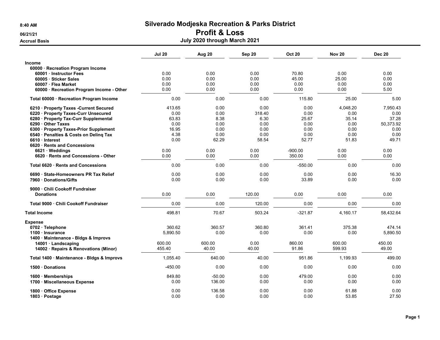# 06/21/21 **Profit & Loss**

Accrual Basis **Accrual Basis Accrual Basis July 2020 through March 2021** 

|                                                                                                    | <b>Jul 20</b>      | Aug 20          | Sep 20         | <b>Oct 20</b>   | <b>Nov 20</b>    | <b>Dec 20</b>      |
|----------------------------------------------------------------------------------------------------|--------------------|-----------------|----------------|-----------------|------------------|--------------------|
| <b>Income</b><br>60000 · Recreation Program Income                                                 |                    |                 |                |                 |                  |                    |
| 60001 Instructor Fees                                                                              | 0.00               | 0.00            | 0.00           | 70.80           | 0.00             | 0.00               |
| 60005 · Sticker Sales                                                                              | 0.00               | 0.00            | 0.00           | 45.00           | 25.00            | 0.00               |
| 60007 · Flea Market                                                                                | 0.00               | 0.00            | 0.00           | 0.00            | 0.00             | 0.00               |
| 60000 · Recreation Program Income - Other                                                          | 0.00               | 0.00            | 0.00           | 0.00            | 0.00             | 5.00               |
| Total 60000 · Recreation Program Income                                                            | 0.00               | 0.00            | 0.00           | 115.80          | 25.00            | 5.00               |
| 6210 · Property Taxes -Current Secured                                                             | 413.65             | 0.00            | 0.00           | 0.00            | 4,048.20         | 7,950.43           |
| 6220 · Property Taxes-Curr Unsecured                                                               | 0.00               | 0.00            | 318.40         | 0.00            | 0.00             | 0.00               |
| 6280 · Property Tax-Curr Supplemental                                                              | 63.83              | 8.38            | 6.30           | 25.67           | 35.14            | 37.28              |
| 6290 Other Taxes                                                                                   | 0.00               | 0.00            | 0.00           | 0.00            | 0.00             | 50,373.92          |
| 6300 · Property Taxes-Prior Supplement                                                             | 16.95              | 0.00            | 0.00           | 0.00            | 0.00             | 0.00               |
| 6540 · Penalties & Costs on Delinq Tax                                                             | 4.38               | 0.00            | 0.00           | 0.00            | 0.00             | 0.00               |
| 6610 Interest                                                                                      | 0.00               | 62.29           | 58.54          | 52.77           | 51.83            | 49.71              |
| 6620 · Rents and Concessions                                                                       |                    |                 |                |                 |                  |                    |
| 6621 Weddings                                                                                      | 0.00               | 0.00            | 0.00           | $-900.00$       | 0.00             | 0.00               |
| 6620 · Rents and Concessions - Other                                                               | 0.00               | 0.00            | 0.00           | 350.00          | 0.00             | 0.00               |
| Total 6620 Rents and Concessions                                                                   | 0.00               | 0.00            | 0.00           | $-550.00$       | 0.00             | 0.00               |
| 6690 · State-Homeowners PR Tax Relief                                                              | 0.00               | 0.00            | 0.00           | 0.00            | 0.00             | 16.30              |
| 7960 Donations/Gifts                                                                               | 0.00               | 0.00            | 0.00           | 33.89           | 0.00             | 0.00               |
| 9000 Chili Cookoff Fundraiser                                                                      |                    |                 |                |                 |                  |                    |
| <b>Donations</b>                                                                                   | 0.00               | 0.00            | 120.00         | 0.00            | 0.00             | 0.00               |
| Total 9000 Chili Cookoff Fundraiser                                                                | 0.00               | 0.00            | 120.00         | 0.00            | 0.00             | 0.00               |
| <b>Total Income</b>                                                                                | 498.81             | 70.67           | 503.24         | $-321.87$       | 4.160.17         | 58,432.64          |
| <b>Expense</b><br>0702 · Telephone<br>1100 · Insurance                                             | 360.62<br>5,890.50 | 360.57<br>0.00  | 360.80<br>0.00 | 361.41<br>0.00  | 375.38<br>0.00   | 474.14<br>5,890.50 |
| 1400 Maintenance - Bldgs & Improvs<br>14001 · Landscaping<br>14002 · Repairs & Renovations (Minor) | 600.00<br>455.40   | 600.00<br>40.00 | 0.00<br>40.00  | 860.00<br>91.86 | 600.00<br>599.93 | 450.00<br>49.00    |
| Total 1400 · Maintenance - Bldgs & Improvs                                                         | 1,055.40           | 640.00          | 40.00          | 951.86          | 1,199.93         | 499.00             |
| 1500 Donations                                                                                     | $-450.00$          | 0.00            | 0.00           | 0.00            | 0.00             | 0.00               |
| 1600 Memberships                                                                                   | 849.80             | $-50.00$        | 0.00           | 479.00          | 0.00             | 0.00               |
| 1700 · Miscellaneous Expense                                                                       | 0.00               | 136.00          | 0.00           | 0.00            | 0.00             | 0.00               |
| 1800 · Office Expense<br>1803 · Postage                                                            | 0.00<br>0.00       | 136.58<br>0.00  | 0.00<br>0.00   | 0.00<br>0.00    | 61.88<br>53.85   | 0.00<br>27.50      |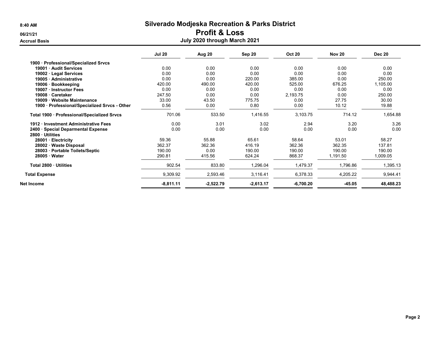## 06/21/21 **Profit & Loss**

#### **Accrual Basis**

|  | July 2020 through March 2021 |  |
|--|------------------------------|--|
|  |                              |  |

|                                                      | <b>Jul 20</b> | Aug 20      | Sep 20      | <b>Oct 20</b> | <b>Nov 20</b> | <b>Dec 20</b> |
|------------------------------------------------------|---------------|-------------|-------------|---------------|---------------|---------------|
| 1900 Professional/Specialized Srvcs                  |               |             |             |               |               |               |
| 19001 Audit Services                                 | 0.00          | 0.00        | 0.00        | 0.00          | 0.00          | 0.00          |
| 19002 · Legal Services                               | 0.00          | 0.00        | 0.00        | 0.00          | 0.00          | 0.00          |
| 19005 Administrative                                 | 0.00          | 0.00        | 220.00      | 385.00        | 0.00          | 250.00        |
| 19006 · Bookkeeping                                  | 420.00        | 490.00      | 420.00      | 525.00        | 676.25        | 1,105.00      |
| 19007 · Instructor Fees                              | 0.00          | 0.00        | 0.00        | 0.00          | 0.00          | 0.00          |
| 19008 · Caretaker                                    | 247.50        | 0.00        | 0.00        | 2,193.75      | 0.00          | 250.00        |
| 19009 · Website Maintenance                          | 33.00         | 43.50       | 775.75      | 0.00          | 27.75         | 30.00         |
| 1900 · Professional/Specialized Srvcs - Other        | 0.56          | 0.00        | 0.80        | 0.00          | 10.12         | 19.88         |
| Total 1900 · Professional/Specialized Srvcs          | 701.06        | 533.50      | 1,416.55    | 3,103.75      | 714.12        | 1,654.88      |
| 1912 Investment Administrative Fees                  | 0.00          | 3.01        | 3.02        | 2.94          | 3.20          | 3.26          |
| 2400 · Special Deparmental Expense<br>2800 Utilities | 0.00          | 0.00        | 0.00        | 0.00          | 0.00          | 0.00          |
| 28001 · Electricity                                  | 59.36         | 55.88       | 65.61       | 58.64         | 53.01         | 58.27         |
| 28002 · Waste Disposal                               | 362.37        | 362.36      | 416.19      | 362.36        | 362.35        | 137.81        |
| 28003 · Portable Toilets/Septic                      | 190.00        | 0.00        | 190.00      | 190.00        | 190.00        | 190.00        |
| $28005 \cdot Water$                                  | 290.81        | 415.56      | 624.24      | 868.37        | 1,191.50      | 1,009.05      |
| Total 2800 · Utilities                               | 902.54        | 833.80      | 1,296.04    | 1,479.37      | 1,796.86      | 1,395.13      |
| <b>Total Expense</b>                                 | 9,309.92      | 2,593.46    | 3,116.41    | 6,378.33      | 4,205.22      | 9,944.41      |
| Net Income                                           | $-8,811.11$   | $-2,522.79$ | $-2,613.17$ | $-6,700.20$   | -45.05        | 48,488.23     |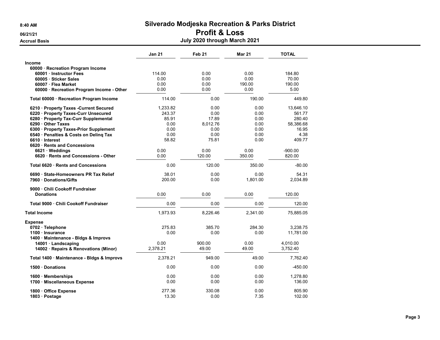# 06/21/21 **Profit & Loss**

| <b>Accrual Basis</b>                       | July 2020 through March 2021 |                   |               |              |  |  |
|--------------------------------------------|------------------------------|-------------------|---------------|--------------|--|--|
|                                            | <b>Jan 21</b>                | Feb <sub>21</sub> | <b>Mar 21</b> | <b>TOTAL</b> |  |  |
| <b>Income</b>                              |                              |                   |               |              |  |  |
| 60000 · Recreation Program Income          |                              |                   |               |              |  |  |
| 60001 Instructor Fees                      | 114.00                       | 0.00              | 0.00          | 184.80       |  |  |
| 60005 · Sticker Sales                      | 0.00                         | 0.00              | 0.00          | 70.00        |  |  |
| 60007 · Flea Market                        | 0.00                         | 0.00              | 190.00        | 190.00       |  |  |
| 60000 · Recreation Program Income - Other  | 0.00                         | 0.00              | 0.00          | 5.00         |  |  |
| Total 60000 · Recreation Program Income    | 114.00                       | 0.00              | 190.00        | 449.80       |  |  |
| 6210 · Property Taxes - Current Secured    | 1,233.82                     | 0.00              | 0.00          | 13,646.10    |  |  |
| 6220 · Property Taxes-Curr Unsecured       | 243.37                       | 0.00              | 0.00          | 561.77       |  |  |
| 6280 · Property Tax-Curr Supplemental      | 85.91                        | 17.89             | 0.00          | 280.40       |  |  |
| 6290 Other Taxes                           | 0.00                         | 8,012.76          | 0.00          | 58,386.68    |  |  |
| 6300 · Property Taxes-Prior Supplement     | 0.00                         | 0.00              | 0.00          | 16.95        |  |  |
| 6540 · Penalties & Costs on Deling Tax     | 0.00                         | 0.00              | 0.00          | 4.38         |  |  |
| 6610 Interest                              | 58.82                        | 75.81             | 0.00          | 409.77       |  |  |
| 6620 Rents and Concessions                 |                              |                   |               |              |  |  |
| $6621 \cdot W$ eddings                     | 0.00                         | 0.00              | 0.00          | $-900.00$    |  |  |
| 6620 · Rents and Concessions - Other       | 0.00                         | 120.00            | 350.00        | 820.00       |  |  |
| Total 6620 · Rents and Concessions         | 0.00                         | 120.00            | 350.00        | $-80.00$     |  |  |
| 6690 State-Homeowners PR Tax Relief        | 38.01                        | 0.00              | 0.00          | 54.31        |  |  |
| 7960 Donations/Gifts                       | 200.00                       | 0.00              | 1,801.00      | 2,034.89     |  |  |
| 9000 Chili Cookoff Fundraiser              |                              |                   |               |              |  |  |
| <b>Donations</b>                           | 0.00                         | 0.00              | 0.00          | 120.00       |  |  |
| Total 9000 Chili Cookoff Fundraiser        | 0.00                         | 0.00              | 0.00          | 120.00       |  |  |
| <b>Total Income</b>                        | 1,973.93                     | 8,226.46          | 2,341.00      | 75,885.05    |  |  |
| <b>Expense</b>                             |                              |                   |               |              |  |  |
| 0702 · Telephone                           | 275.83                       | 385.70            | 284.30        | 3,238.75     |  |  |
| 1100 Insurance                             | 0.00                         | 0.00              | 0.00          | 11,781.00    |  |  |
| 1400 · Maintenance - Bldgs & Improvs       |                              |                   |               |              |  |  |
| $14001 \cdot$ Landscaping                  | 0.00                         | 900.00            | 0.00          | 4,010.00     |  |  |
| 14002 · Repairs & Renovations (Minor)      | 2,378.21                     | 49.00             | 49.00         | 3,752.40     |  |  |
| Total 1400 · Maintenance - Bldgs & Improvs | 2,378.21                     | 949.00            | 49.00         | 7,762.40     |  |  |
| 1500 Donations                             | 0.00                         | 0.00              | 0.00          | $-450.00$    |  |  |
| 1600 Memberships                           | 0.00                         | 0.00              | 0.00          | 1,278.80     |  |  |
| 1700 · Miscellaneous Expense               | 0.00                         | 0.00              | 0.00          | 136.00       |  |  |
| 1800 Office Expense                        | 277.36                       | 330.08            | 0.00          | 805.90       |  |  |
| 1803 · Postage                             | 13.30                        | 0.00              | 7.35          | 102.00       |  |  |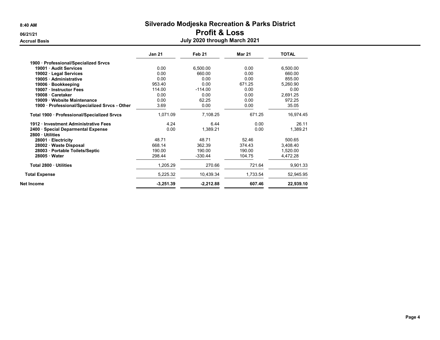# 06/21/21 **Profit & Loss**

| <b>Accrual Basis</b>                          |               | July 2020 through March 2021 |               |              |  |
|-----------------------------------------------|---------------|------------------------------|---------------|--------------|--|
|                                               | <b>Jan 21</b> | Feb 21                       | <b>Mar 21</b> | <b>TOTAL</b> |  |
| 1900 · Professional/Specialized Srvcs         |               |                              |               |              |  |
| 19001 · Audit Services                        | 0.00          | 6,500.00                     | 0.00          | 6,500.00     |  |
| 19002 · Legal Services                        | 0.00          | 660.00                       | 0.00          | 660.00       |  |
| 19005 · Administrative                        | 0.00          | 0.00                         | 0.00          | 855.00       |  |
| 19006 · Bookkeeping                           | 953.40        | 0.00                         | 671.25        | 5,260.90     |  |
| 19007 · Instructor Fees                       | 114.00        | $-114.00$                    | 0.00          | 0.00         |  |
| 19008 Caretaker                               | 0.00          | 0.00                         | 0.00          | 2,691.25     |  |
| 19009 · Website Maintenance                   | 0.00          | 62.25                        | 0.00          | 972.25       |  |
| 1900 · Professional/Specialized Srvcs - Other | 3.69          | 0.00                         | 0.00          | 35.05        |  |
| Total 1900 · Professional/Specialized Srvcs   | 1,071.09      | 7.108.25                     | 671.25        | 16,974.45    |  |
| 1912 Investment Administrative Fees           | 4.24          | 6.44                         | 0.00          | 26.11        |  |
| 2400 · Special Deparmental Expense            | 0.00          | 1,389.21                     | 0.00          | 1,389.21     |  |
| 2800 Utilities                                |               |                              |               |              |  |
| 28001 · Electricity                           | 48.71         | 48.71                        | 52.46         | 500.65       |  |
| 28002 · Waste Disposal                        | 668.14        | 362.39                       | 374.43        | 3.408.40     |  |
| 28003 · Portable Toilets/Septic               | 190.00        | 190.00                       | 190.00        | 1.520.00     |  |
| 28005 Water                                   | 298.44        | $-330.44$                    | 104.75        | 4,472.28     |  |
| Total 2800 Utilities                          | 1,205.29      | 270.66                       | 721.64        | 9,901.33     |  |
| <b>Total Expense</b>                          | 5,225.32      | 10.439.34                    | 1.733.54      | 52,945.95    |  |
| <b>Net Income</b>                             | $-3,251.39$   | $-2,212.88$                  | 607.46        | 22,939.10    |  |

#### Page 4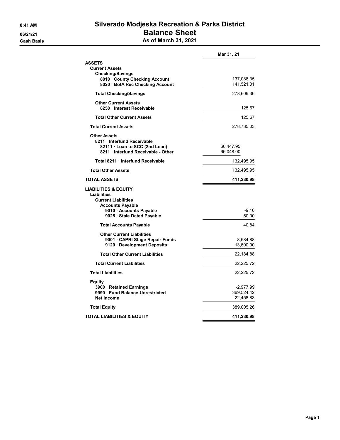## 8:41 AM Silverado Modjeska Recreation & Parks District 06/21/21 **Balance Sheet Cash Basis** Cash Basis **As of March 31, 2021**

|                                                                                                                                                                  | Mar 31, 21                             |
|------------------------------------------------------------------------------------------------------------------------------------------------------------------|----------------------------------------|
| <b>ASSETS</b><br><b>Current Assets</b><br><b>Checking/Savings</b><br>8010 · County Checking Account<br>8020 · BofA Rec Checking Account                          | 137,088.35<br>141,521.01               |
| <b>Total Checking/Savings</b>                                                                                                                                    | 278,609.36                             |
| <b>Other Current Assets</b><br>8250 · Interest Receivable                                                                                                        | 125.67                                 |
| <b>Total Other Current Assets</b>                                                                                                                                | 125.67                                 |
| <b>Total Current Assets</b>                                                                                                                                      | 278,735.03                             |
| <b>Other Assets</b><br>8211 Interfund Receivable<br>82111 · Loan to SCC (2nd Loan)<br>8211 Interfund Receivable - Other                                          | 66,447.95<br>66,048.00                 |
| Total 8211 Interfund Receivable                                                                                                                                  | 132,495.95                             |
| <b>Total Other Assets</b>                                                                                                                                        | 132,495.95                             |
| <b>TOTAL ASSETS</b>                                                                                                                                              | 411,230.98                             |
| <b>LIABILITIES &amp; EQUITY</b><br>Liabilities<br><b>Current Liabilities</b><br><b>Accounts Payable</b><br>9010 · Accounts Payable<br>9025 · Stale Dated Payable | -9.16<br>50.00                         |
| <b>Total Accounts Payable</b>                                                                                                                                    | 40.84                                  |
| <b>Other Current Liabilities</b><br>9001 CAPRI Stage Repair Funds<br>9120 Development Deposits                                                                   | 8,584.88<br>13,600.00                  |
| <b>Total Other Current Liabilities</b>                                                                                                                           | 22,184.88                              |
| <b>Total Current Liabilities</b>                                                                                                                                 | 22,225.72                              |
| <b>Total Liabilities</b>                                                                                                                                         | 22,225.72                              |
| Equity<br>3900 · Retained Earnings<br>9990 Fund Balance-Unrestricted<br><b>Net Income</b>                                                                        | $-2,977.99$<br>369,524.42<br>22,458.83 |
| <b>Total Equity</b>                                                                                                                                              | 389,005.26                             |
| TOTAL LIABILITIES & EQUITY                                                                                                                                       | 411,230.98                             |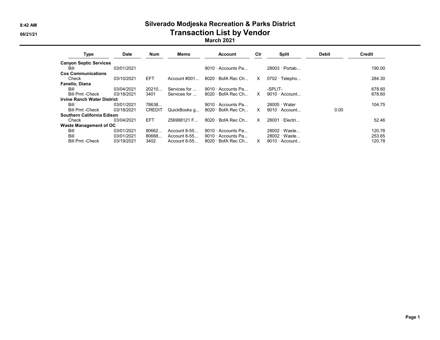# 8:42 AM Silverado Modjeska Recreation & Parks District 06/21/21 CONSERVENTING CONTROLLER TRANSACTION LIST by Vendor

#### March 2021

| <b>Type</b>                        | <b>Date</b> | <b>Num</b>    | Memo            | Account                  | Cir      | <b>Split</b>          | <b>Debit</b> | <b>Credit</b> |
|------------------------------------|-------------|---------------|-----------------|--------------------------|----------|-----------------------|--------------|---------------|
| <b>Canyon Septic Services</b>      |             |               |                 |                          |          |                       |              |               |
| Bill                               | 03/01/2021  |               |                 | $9010 \cdot$ Accounts Pa |          | $28003 \cdot$ Portab  |              | 190.00        |
| <b>Cox Communications</b>          |             |               |                 |                          |          |                       |              |               |
| Check                              | 03/10/2021  | <b>EFT</b>    | Account $\#001$ | $8020 \cdot$ BofA Rec Ch | x        | $0702 \cdot$ Telepho  |              | 284.30        |
| Fanello, Diana                     |             |               |                 |                          |          |                       |              |               |
| Bill                               | 03/04/2021  | 20210         | Services for    | $9010 \cdot$ Accounts Pa |          | -SPLIT-               |              | 678.60        |
| <b>Bill Pmt -Check</b>             | 03/18/2021  | 3401          | Services for    | $8020 \cdot$ BofA Rec Ch | X        | $9010 \cdot$ Account  |              | 678.60        |
| <b>Irvine Ranch Water District</b> |             |               |                 |                          |          |                       |              |               |
| Bill                               | 03/01/2021  | 78638         |                 | $9010 \cdot$ Accounts Pa |          | $28005 \cdot Water$   |              | 104.75        |
| <b>Bill Pmt -Check</b>             | 03/18/2021  | <b>CREDIT</b> | QuickBooks q    | $8020 \cdot$ BofA Rec Ch | X        | $9010 \cdot$ Account  | 0.00         |               |
| Southern California Edison         |             |               |                 |                          |          |                       |              |               |
| Check                              | 03/04/2021  | <b>EFT</b>    | 256998121 F     | $8020 \cdot$ BofA Rec Ch | $\times$ | $28001 \cdot$ Electri |              | 52.46         |
| Waste Management of OC             |             |               |                 |                          |          |                       |              |               |
| Bill                               | 03/01/2021  | 80662         | Account $8-55$  | $9010 \cdot$ Accounts Pa |          | 28002 · Waste         |              | 120.78        |
| Bill                               | 03/01/2021  | 80668.        | Account $8-55$  | $9010 \cdot$ Accounts Pa |          | $28002 \cdot Waste$   |              | 253.65        |
| <b>Bill Pmt -Check</b>             | 03/19/2021  | 3402          | Account $8-55$  | $8020 \cdot$ BofA Rec Ch | X        | $9010 \cdot$ Account  |              | 120.78        |